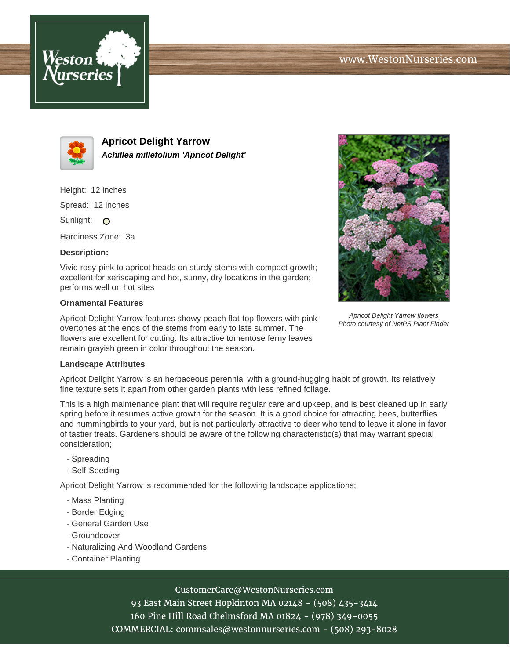



**Apricot Delight Yarrow Achillea millefolium 'Apricot Delight'**

Height: 12 inches

Spread: 12 inches

Sunlight: O

Hardiness Zone: 3a

## **Description:**

Vivid rosy-pink to apricot heads on sturdy stems with compact growth; excellent for xeriscaping and hot, sunny, dry locations in the garden; performs well on hot sites

### **Ornamental Features**

Apricot Delight Yarrow features showy peach flat-top flowers with pink overtones at the ends of the stems from early to late summer. The flowers are excellent for cutting. Its attractive tomentose ferny leaves remain grayish green in color throughout the season.



Apricot Delight Yarrow flowers Photo courtesy of NetPS Plant Finder

#### **Landscape Attributes**

Apricot Delight Yarrow is an herbaceous perennial with a ground-hugging habit of growth. Its relatively fine texture sets it apart from other garden plants with less refined foliage.

This is a high maintenance plant that will require regular care and upkeep, and is best cleaned up in early spring before it resumes active growth for the season. It is a good choice for attracting bees, butterflies and hummingbirds to your yard, but is not particularly attractive to deer who tend to leave it alone in favor of tastier treats. Gardeners should be aware of the following characteristic(s) that may warrant special consideration;

- Spreading
- Self-Seeding

Apricot Delight Yarrow is recommended for the following landscape applications;

- Mass Planting
- Border Edging
- General Garden Use
- Groundcover
- Naturalizing And Woodland Gardens
- Container Planting

# CustomerCare@WestonNurseries.com

93 East Main Street Hopkinton MA 02148 - (508) 435-3414 160 Pine Hill Road Chelmsford MA 01824 - (978) 349-0055 COMMERCIAL: commsales@westonnurseries.com - (508) 293-8028